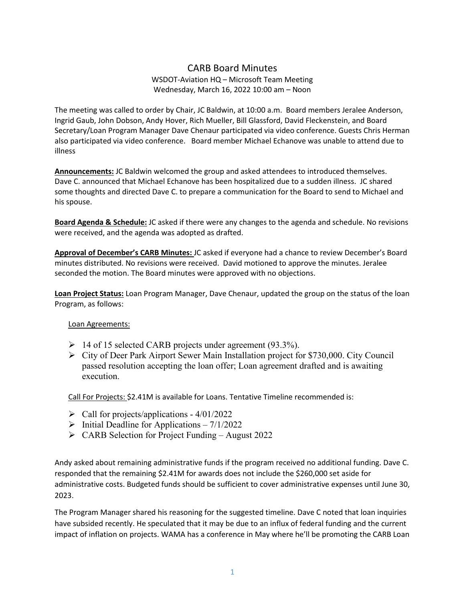## CARB Board Minutes

## WSDOT-Aviation HQ – Microsoft Team Meeting Wednesday, March 16, 2022 10:00 am – Noon

The meeting was called to order by Chair, JC Baldwin, at 10:00 a.m. Board members Jeralee Anderson, Ingrid Gaub, John Dobson, Andy Hover, Rich Mueller, Bill Glassford, David Fleckenstein, and Board Secretary/Loan Program Manager Dave Chenaur participated via video conference. Guests Chris Herman also participated via video conference. Board member Michael Echanove was unable to attend due to illness

**Announcements:** JC Baldwin welcomed the group and asked attendees to introduced themselves. Dave C. announced that Michael Echanove has been hospitalized due to a sudden illness. JC shared some thoughts and directed Dave C. to prepare a communication for the Board to send to Michael and his spouse.

**Board Agenda & Schedule:** JC asked if there were any changes to the agenda and schedule. No revisions were received, and the agenda was adopted as drafted.

**Approval of December's CARB Minutes:** JC asked if everyone had a chance to review December's Board minutes distributed. No revisions were received. David motioned to approve the minutes. Jeralee seconded the motion. The Board minutes were approved with no objections.

**Loan Project Status:** Loan Program Manager, Dave Chenaur, updated the group on the status of the loan Program, as follows:

## Loan Agreements:

- $\triangleright$  14 of 15 selected CARB projects under agreement (93.3%).
- $\triangleright$  City of Deer Park Airport Sewer Main Installation project for \$730,000. City Council passed resolution accepting the loan offer; Loan agreement drafted and is awaiting execution.

Call For Projects: \$2.41M is available for Loans. Tentative Timeline recommended is:

- $\triangleright$  Call for projects/applications 4/01/2022
- $\triangleright$  Initial Deadline for Applications 7/1/2022
- $\triangleright$  CARB Selection for Project Funding August 2022

Andy asked about remaining administrative funds if the program received no additional funding. Dave C. responded that the remaining \$2.41M for awards does not include the \$260,000 set aside for administrative costs. Budgeted funds should be sufficient to cover administrative expenses until June 30, 2023.

The Program Manager shared his reasoning for the suggested timeline. Dave C noted that loan inquiries have subsided recently. He speculated that it may be due to an influx of federal funding and the current impact of inflation on projects. WAMA has a conference in May where he'll be promoting the CARB Loan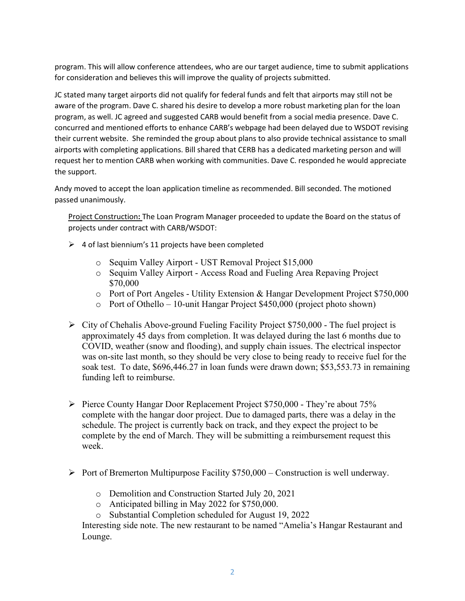program. This will allow conference attendees, who are our target audience, time to submit applications for consideration and believes this will improve the quality of projects submitted.

JC stated many target airports did not qualify for federal funds and felt that airports may still not be aware of the program. Dave C. shared his desire to develop a more robust marketing plan for the loan program, as well. JC agreed and suggested CARB would benefit from a social media presence. Dave C. concurred and mentioned efforts to enhance CARB's webpage had been delayed due to WSDOT revising their current website. She reminded the group about plans to also provide technical assistance to small airports with completing applications. Bill shared that CERB has a dedicated marketing person and will request her to mention CARB when working with communities. Dave C. responded he would appreciate the support.

Andy moved to accept the loan application timeline as recommended. Bill seconded. The motioned passed unanimously.

Project Construction**:** The Loan Program Manager proceeded to update the Board on the status of projects under contract with CARB/WSDOT:

- $\triangleright$  4 of last biennium's 11 projects have been completed
	- o Sequim Valley Airport UST Removal Project \$15,000
	- o Sequim Valley Airport Access Road and Fueling Area Repaving Project \$70,000
	- o Port of Port Angeles Utility Extension & Hangar Development Project \$750,000
	- o Port of Othello 10-unit Hangar Project \$450,000 (project photo shown)
- $\triangleright$  City of Chehalis Above-ground Fueling Facility Project \$750,000 The fuel project is approximately 45 days from completion. It was delayed during the last 6 months due to COVID, weather (snow and flooding), and supply chain issues. The electrical inspector was on-site last month, so they should be very close to being ready to receive fuel for the soak test. To date, \$696,446.27 in loan funds were drawn down; \$53,553.73 in remaining funding left to reimburse.
- Pierce County Hangar Door Replacement Project \$750,000 They're about 75% complete with the hangar door project. Due to damaged parts, there was a delay in the schedule. The project is currently back on track, and they expect the project to be complete by the end of March. They will be submitting a reimbursement request this week.
- Port of Bremerton Multipurpose Facility  $$750,000 -$ Construction is well underway.
	- o Demolition and Construction Started July 20, 2021
	- o Anticipated billing in May 2022 for \$750,000.
	- o Substantial Completion scheduled for August 19, 2022

Interesting side note. The new restaurant to be named "Amelia's Hangar Restaurant and Lounge.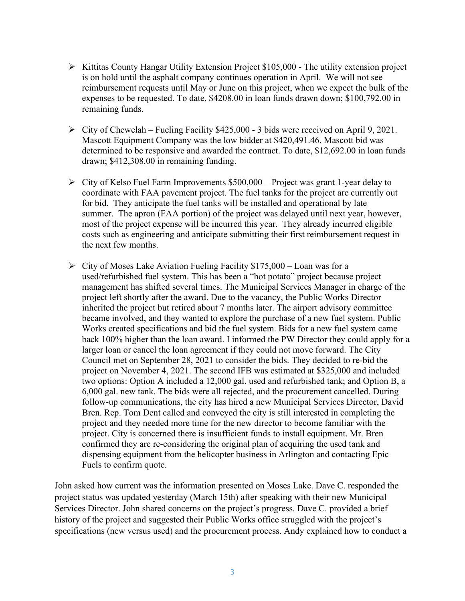- $\triangleright$  Kittitas County Hangar Utility Extension Project \$105,000 The utility extension project is on hold until the asphalt company continues operation in April. We will not see reimbursement requests until May or June on this project, when we expect the bulk of the expenses to be requested. To date, \$4208.00 in loan funds drawn down; \$100,792.00 in remaining funds.
- $\triangleright$  City of Chewelah Fueling Facility \$425,000 3 bids were received on April 9, 2021. Mascott Equipment Company was the low bidder at \$420,491.46. Mascott bid was determined to be responsive and awarded the contract. To date, \$12,692.00 in loan funds drawn; \$412,308.00 in remaining funding.
- $\triangleright$  City of Kelso Fuel Farm Improvements \$500,000 Project was grant 1-year delay to coordinate with FAA pavement project. The fuel tanks for the project are currently out for bid. They anticipate the fuel tanks will be installed and operational by late summer. The apron (FAA portion) of the project was delayed until next year, however, most of the project expense will be incurred this year. They already incurred eligible costs such as engineering and anticipate submitting their first reimbursement request in the next few months.
- $\triangleright$  City of Moses Lake Aviation Fueling Facility \$175,000 Loan was for a used/refurbished fuel system. This has been a "hot potato" project because project management has shifted several times. The Municipal Services Manager in charge of the project left shortly after the award. Due to the vacancy, the Public Works Director inherited the project but retired about 7 months later. The airport advisory committee became involved, and they wanted to explore the purchase of a new fuel system. Public Works created specifications and bid the fuel system. Bids for a new fuel system came back 100% higher than the loan award. I informed the PW Director they could apply for a larger loan or cancel the loan agreement if they could not move forward. The City Council met on September 28, 2021 to consider the bids. They decided to re-bid the project on November 4, 2021. The second IFB was estimated at \$325,000 and included two options: Option A included a 12,000 gal. used and refurbished tank; and Option B, a 6,000 gal. new tank. The bids were all rejected, and the procurement cancelled. During follow-up communications, the city has hired a new Municipal Services Director, David Bren. Rep. Tom Dent called and conveyed the city is still interested in completing the project and they needed more time for the new director to become familiar with the project. City is concerned there is insufficient funds to install equipment. Mr. Bren confirmed they are re-considering the original plan of acquiring the used tank and dispensing equipment from the helicopter business in Arlington and contacting Epic Fuels to confirm quote.

John asked how current was the information presented on Moses Lake. Dave C. responded the project status was updated yesterday (March 15th) after speaking with their new Municipal Services Director. John shared concerns on the project's progress. Dave C. provided a brief history of the project and suggested their Public Works office struggled with the project's specifications (new versus used) and the procurement process. Andy explained how to conduct a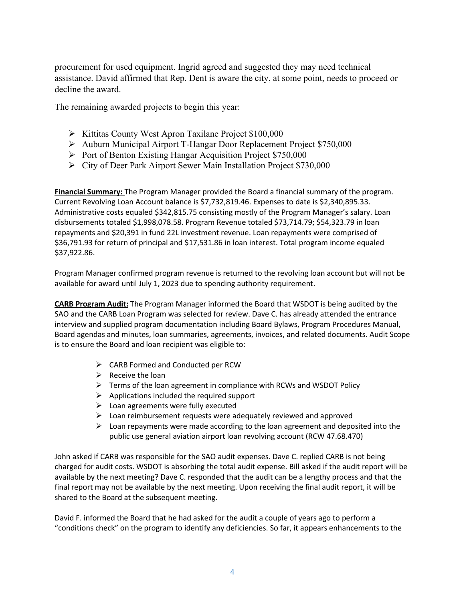procurement for used equipment. Ingrid agreed and suggested they may need technical assistance. David affirmed that Rep. Dent is aware the city, at some point, needs to proceed or decline the award.

The remaining awarded projects to begin this year:

- $\triangleright$  Kittitas County West Apron Taxilane Project \$100,000
- Auburn Municipal Airport T-Hangar Door Replacement Project \$750,000
- Port of Benton Existing Hangar Acquisition Project \$750,000
- City of Deer Park Airport Sewer Main Installation Project \$730,000

**Financial Summary:** The Program Manager provided the Board a financial summary of the program. Current Revolving Loan Account balance is \$7,732,819.46. Expenses to date is \$2,340,895.33. Administrative costs equaled \$342,815.75 consisting mostly of the Program Manager's salary. Loan disbursements totaled \$1,998,078.58. Program Revenue totaled \$73,714.79; \$54,323.79 in loan repayments and \$20,391 in fund 22L investment revenue. Loan repayments were comprised of \$36,791.93 for return of principal and \$17,531.86 in loan interest. Total program income equaled \$37,922.86.

Program Manager confirmed program revenue is returned to the revolving loan account but will not be available for award until July 1, 2023 due to spending authority requirement.

**CARB Program Audit:** The Program Manager informed the Board that WSDOT is being audited by the SAO and the CARB Loan Program was selected for review. Dave C. has already attended the entrance interview and supplied program documentation including Board Bylaws, Program Procedures Manual, Board agendas and minutes, loan summaries, agreements, invoices, and related documents. Audit Scope is to ensure the Board and loan recipient was eligible to:

- $\triangleright$  CARB Formed and Conducted per RCW
- $\triangleright$  Receive the loan
- $\triangleright$  Terms of the loan agreement in compliance with RCWs and WSDOT Policy
- $\triangleright$  Applications included the required support
- $\triangleright$  Loan agreements were fully executed
- $\triangleright$  Loan reimbursement requests were adequately reviewed and approved
- $\triangleright$  Loan repayments were made according to the loan agreement and deposited into the public use general aviation airport loan revolving account (RCW 47.68.470)

John asked if CARB was responsible for the SAO audit expenses. Dave C. replied CARB is not being charged for audit costs. WSDOT is absorbing the total audit expense. Bill asked if the audit report will be available by the next meeting? Dave C. responded that the audit can be a lengthy process and that the final report may not be available by the next meeting. Upon receiving the final audit report, it will be shared to the Board at the subsequent meeting.

David F. informed the Board that he had asked for the audit a couple of years ago to perform a "conditions check" on the program to identify any deficiencies. So far, it appears enhancements to the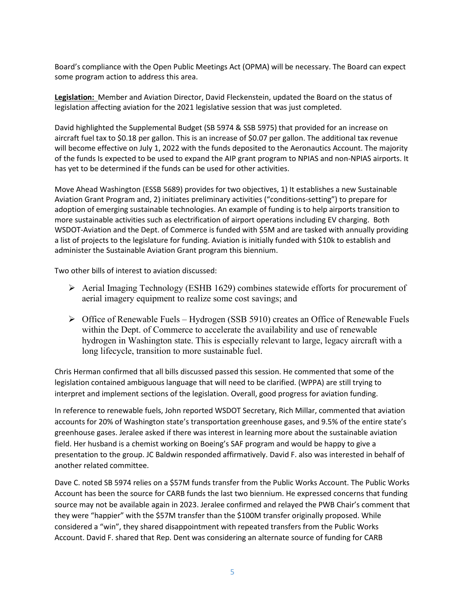Board's compliance with the Open Public Meetings Act (OPMA) will be necessary. The Board can expect some program action to address this area.

**Legislation:** Member and Aviation Director, David Fleckenstein, updated the Board on the status of legislation affecting aviation for the 2021 legislative session that was just completed.

David highlighted the Supplemental Budget (SB 5974 & SSB 5975) that provided for an increase on aircraft fuel tax to \$0.18 per gallon. This is an increase of \$0.07 per gallon. The additional tax revenue will become effective on July 1, 2022 with the funds deposited to the Aeronautics Account. The majority of the funds Is expected to be used to expand the AIP grant program to NPIAS and non-NPIAS airports. It has yet to be determined if the funds can be used for other activities.

Move Ahead Washington (ESSB 5689) provides for two objectives, 1) It establishes a new Sustainable Aviation Grant Program and, 2) initiates preliminary activities ("conditions-setting") to prepare for adoption of emerging sustainable technologies. An example of funding is to help airports transition to more sustainable activities such as electrification of airport operations including EV charging. Both WSDOT-Aviation and the Dept. of Commerce is funded with \$5M and are tasked with annually providing a list of projects to the legislature for funding. Aviation is initially funded with \$10k to establish and administer the Sustainable Aviation Grant program this biennium.

Two other bills of interest to aviation discussed:

- Aerial Imaging Technology (ESHB 1629) combines statewide efforts for procurement of aerial imagery equipment to realize some cost savings; and
- $\triangleright$  Office of Renewable Fuels Hydrogen (SSB 5910) creates an Office of Renewable Fuels within the Dept. of Commerce to accelerate the availability and use of renewable hydrogen in Washington state. This is especially relevant to large, legacy aircraft with a long lifecycle, transition to more sustainable fuel.

Chris Herman confirmed that all bills discussed passed this session. He commented that some of the legislation contained ambiguous language that will need to be clarified. (WPPA) are still trying to interpret and implement sections of the legislation. Overall, good progress for aviation funding.

In reference to renewable fuels, John reported WSDOT Secretary, Rich Millar, commented that aviation accounts for 20% of Washington state's transportation greenhouse gases, and 9.5% of the entire state's greenhouse gases. Jeralee asked if there was interest in learning more about the sustainable aviation field. Her husband is a chemist working on Boeing's SAF program and would be happy to give a presentation to the group. JC Baldwin responded affirmatively. David F. also was interested in behalf of another related committee.

Dave C. noted SB 5974 relies on a \$57M funds transfer from the Public Works Account. The Public Works Account has been the source for CARB funds the last two biennium. He expressed concerns that funding source may not be available again in 2023. Jeralee confirmed and relayed the PWB Chair's comment that they were "happier" with the \$57M transfer than the \$100M transfer originally proposed. While considered a "win", they shared disappointment with repeated transfers from the Public Works Account. David F. shared that Rep. Dent was considering an alternate source of funding for CARB